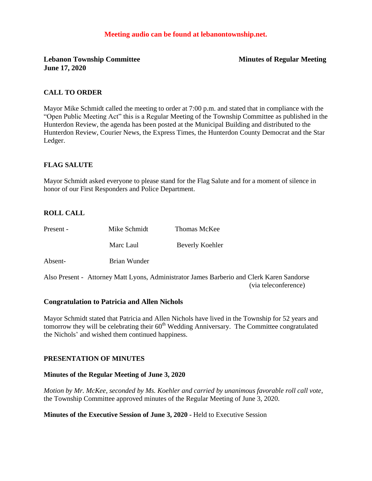### **Meeting audio can be found at lebanontownship.net.**

**Lebanon Township Committee Minutes of Regular Meeting June 17, 2020**

### **CALL TO ORDER**

Mayor Mike Schmidt called the meeting to order at 7:00 p.m. and stated that in compliance with the "Open Public Meeting Act" this is a Regular Meeting of the Township Committee as published in the Hunterdon Review, the agenda has been posted at the Municipal Building and distributed to the Hunterdon Review, Courier News, the Express Times, the Hunterdon County Democrat and the Star Ledger.

### **FLAG SALUTE**

Mayor Schmidt asked everyone to please stand for the Flag Salute and for a moment of silence in honor of our First Responders and Police Department.

### **ROLL CALL**

| Present - | Mike Schmidt | Thomas McKee    |
|-----------|--------------|-----------------|
|           | Marc Laul    | Beverly Koehler |
| Absent-   | Brian Wunder |                 |
|           |              |                 |

Also Present - Attorney Matt Lyons, Administrator James Barberio and Clerk Karen Sandorse (via teleconference)

### **Congratulation to Patricia and Allen Nichols**

Mayor Schmidt stated that Patricia and Allen Nichols have lived in the Township for 52 years and tomorrow they will be celebrating their  $60<sup>th</sup>$  Wedding Anniversary. The Committee congratulated the Nichols' and wished them continued happiness.

### **PRESENTATION OF MINUTES**

#### **Minutes of the Regular Meeting of June 3, 2020**

*Motion by Mr. McKee, seconded by Ms. Koehler and carried by unanimous favorable roll call vote,* the Township Committee approved minutes of the Regular Meeting of June 3, 2020.

### **Minutes of the Executive Session of June 3, 2020 -** Held to Executive Session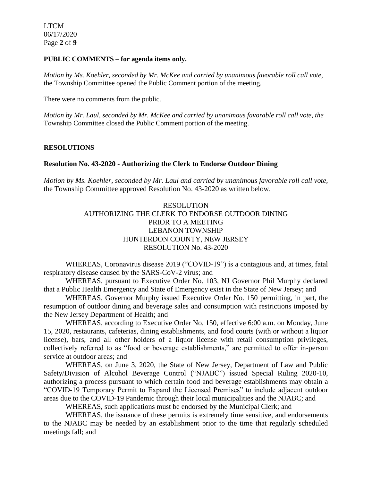LTCM 06/17/2020 Page **2** of **9**

### **PUBLIC COMMENTS – for agenda items only.**

*Motion by Ms. Koehler, seconded by Mr. McKee and carried by unanimous favorable roll call vote,* the Township Committee opened the Public Comment portion of the meeting.

There were no comments from the public.

*Motion by Mr. Laul, seconded by Mr. McKee and carried by unanimous favorable roll call vote, the* Township Committee closed the Public Comment portion of the meeting.

## **RESOLUTIONS**

## **Resolution No. 43-2020 - Authorizing the Clerk to Endorse Outdoor Dining**

*Motion by Ms. Koehler, seconded by Mr. Laul and carried by unanimous favorable roll call vote,* the Township Committee approved Resolution No. 43-2020 as written below.

> RESOLUTION AUTHORIZING THE CLERK TO ENDORSE OUTDOOR DINING PRIOR TO A MEETING LEBANON TOWNSHIP HUNTERDON COUNTY, NEW JERSEY RESOLUTION No. 43-2020

WHEREAS, Coronavirus disease 2019 ("COVID-19") is a contagious and, at times, fatal respiratory disease caused by the SARS-CoV-2 virus; and

WHEREAS, pursuant to Executive Order No. 103, NJ Governor Phil Murphy declared that a Public Health Emergency and State of Emergency exist in the State of New Jersey; and

WHEREAS, Governor Murphy issued Executive Order No. 150 permitting, in part, the resumption of outdoor dining and beverage sales and consumption with restrictions imposed by the New Jersey Department of Health; and

WHEREAS, according to Executive Order No. 150, effective 6:00 a.m. on Monday, June 15, 2020, restaurants, cafeterias, dining establishments, and food courts (with or without a liquor license), bars, and all other holders of a liquor license with retail consumption privileges, collectively referred to as "food or beverage establishments," are permitted to offer in-person service at outdoor areas; and

WHEREAS, on June 3, 2020, the State of New Jersey, Department of Law and Public Safety/Division of Alcohol Beverage Control ("NJABC") issued Special Ruling 2020-10, authorizing a process pursuant to which certain food and beverage establishments may obtain a "COVID-19 Temporary Permit to Expand the Licensed Premises" to include adjacent outdoor areas due to the COVID-19 Pandemic through their local municipalities and the NJABC; and

WHEREAS, such applications must be endorsed by the Municipal Clerk; and

WHEREAS, the issuance of these permits is extremely time sensitive, and endorsements to the NJABC may be needed by an establishment prior to the time that regularly scheduled meetings fall; and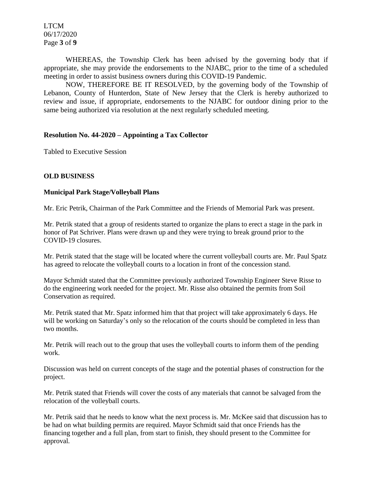LTCM 06/17/2020 Page **3** of **9**

WHEREAS, the Township Clerk has been advised by the governing body that if appropriate, she may provide the endorsements to the NJABC, prior to the time of a scheduled meeting in order to assist business owners during this COVID-19 Pandemic.

NOW, THEREFORE BE IT RESOLVED, by the governing body of the Township of Lebanon, County of Hunterdon, State of New Jersey that the Clerk is hereby authorized to review and issue, if appropriate, endorsements to the NJABC for outdoor dining prior to the same being authorized via resolution at the next regularly scheduled meeting.

### **Resolution No. 44-2020 – Appointing a Tax Collector**

Tabled to Executive Session

### **OLD BUSINESS**

### **Municipal Park Stage/Volleyball Plans**

Mr. Eric Petrik, Chairman of the Park Committee and the Friends of Memorial Park was present.

Mr. Petrik stated that a group of residents started to organize the plans to erect a stage in the park in honor of Pat Schriver. Plans were drawn up and they were trying to break ground prior to the COVID-19 closures.

Mr. Petrik stated that the stage will be located where the current volleyball courts are. Mr. Paul Spatz has agreed to relocate the volleyball courts to a location in front of the concession stand.

Mayor Schmidt stated that the Committee previously authorized Township Engineer Steve Risse to do the engineering work needed for the project. Mr. Risse also obtained the permits from Soil Conservation as required.

Mr. Petrik stated that Mr. Spatz informed him that that project will take approximately 6 days. He will be working on Saturday's only so the relocation of the courts should be completed in less than two months.

Mr. Petrik will reach out to the group that uses the volleyball courts to inform them of the pending work.

Discussion was held on current concepts of the stage and the potential phases of construction for the project.

Mr. Petrik stated that Friends will cover the costs of any materials that cannot be salvaged from the relocation of the volleyball courts.

Mr. Petrik said that he needs to know what the next process is. Mr. McKee said that discussion has to be had on what building permits are required. Mayor Schmidt said that once Friends has the financing together and a full plan, from start to finish, they should present to the Committee for approval*.*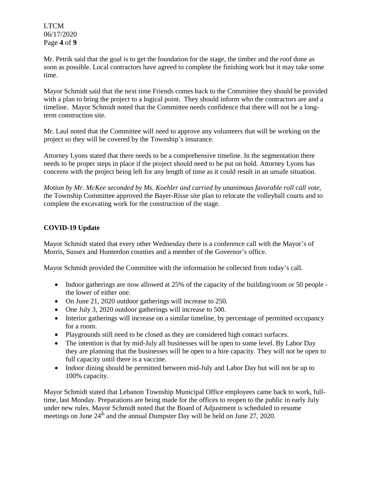LTCM 06/17/2020 Page **4** of **9**

Mr. Petrik said that the goal is to get the foundation for the stage, the timber and the roof done as soon as possible. Local contractors have agreed to complete the finishing work but it may take some time.

Mayor Schmidt said that the next time Friends comes back to the Committee they should be provided with a plan to bring the project to a logical point. They should inform who the contractors are and a timeline. Mayor Schmidt noted that the Committee needs confidence that there will not be a longterm construction site.

Mr. Laul noted that the Committee will need to approve any volunteers that will be working on the project so they will be covered by the Township's insurance.

Attorney Lyons stated that there needs to be a comprehensive timeline. In the segmentation there needs to be proper steps in place if the project should need to be put on hold. Attorney Lyons has concerns with the project being left for any length of time as it could result in an unsafe situation.

*Motion by Mr. McKee seconded by Ms. Koehler and carried by unanimous favorable roll call vote,* the Township Committee approved the Bayer-Risse site plan to relocate the volleyball courts and to complete the excavating work for the construction of the stage.

## **COVID-19 Update**

Mayor Schmidt stated that every other Wednesday there is a conference call with the Mayor's of Morris, Sussex and Hunterdon counties and a member of the Governor's office.

Mayor Schmidt provided the Committee with the information he collected from today's call.

- Indoor gatherings are now allowed at 25% of the capacity of the building/room or 50 people the lower of either one.
- On June 21, 2020 outdoor gatherings will increase to 250.
- One July 3, 2020 outdoor gatherings will increase to 500.
- Interior gatherings will increase on a similar timeline, by percentage of permitted occupancy for a room.
- Playgrounds still need to be closed as they are considered high contact surfaces.
- The intention is that by mid-July all businesses will be open to some level. By Labor Day they are planning that the businesses will be open to a hire capacity. They will not be open to full capacity until there is a vaccine.
- Indoor dining should be permitted between mid-July and Labor Day but will not be up to 100% capacity.

Mayor Schmidt stated that Lebanon Township Municipal Office employees came back to work, fulltime, last Monday. Preparations are being made for the offices to reopen to the public in early July under new rules. Mayor Schmidt noted that the Board of Adjustment is scheduled to resume meetings on June  $24^{th}$  and the annual Dumpster Day will be held on June 27, 2020.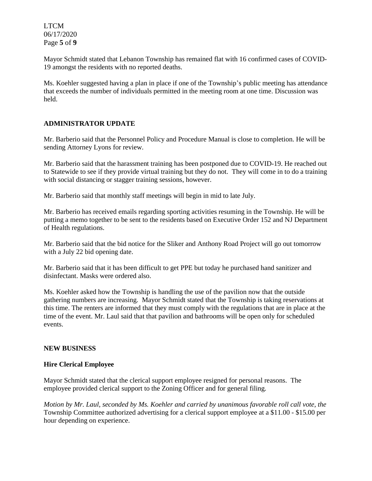LTCM 06/17/2020 Page **5** of **9**

Mayor Schmidt stated that Lebanon Township has remained flat with 16 confirmed cases of COVID-19 amongst the residents with no reported deaths.

Ms. Koehler suggested having a plan in place if one of the Township's public meeting has attendance that exceeds the number of individuals permitted in the meeting room at one time. Discussion was held.

## **ADMINISTRATOR UPDATE**

Mr. Barberio said that the Personnel Policy and Procedure Manual is close to completion. He will be sending Attorney Lyons for review.

Mr. Barberio said that the harassment training has been postponed due to COVID-19. He reached out to Statewide to see if they provide virtual training but they do not. They will come in to do a training with social distancing or stagger training sessions, however.

Mr. Barberio said that monthly staff meetings will begin in mid to late July.

Mr. Barberio has received emails regarding sporting activities resuming in the Township. He will be putting a memo together to be sent to the residents based on Executive Order 152 and NJ Department of Health regulations.

Mr. Barberio said that the bid notice for the Sliker and Anthony Road Project will go out tomorrow with a July 22 bid opening date.

Mr. Barberio said that it has been difficult to get PPE but today he purchased hand sanitizer and disinfectant. Masks were ordered also.

Ms. Koehler asked how the Township is handling the use of the pavilion now that the outside gathering numbers are increasing. Mayor Schmidt stated that the Township is taking reservations at this time. The renters are informed that they must comply with the regulations that are in place at the time of the event. Mr. Laul said that that pavilion and bathrooms will be open only for scheduled events.

## **NEW BUSINESS**

## **Hire Clerical Employee**

Mayor Schmidt stated that the clerical support employee resigned for personal reasons. The employee provided clerical support to the Zoning Officer and for general filing.

*Motion by Mr. Laul, seconded by Ms. Koehler and carried by unanimous favorable roll call vote, the* Township Committee authorized advertising for a clerical support employee at a \$11.00 - \$15.00 per hour depending on experience.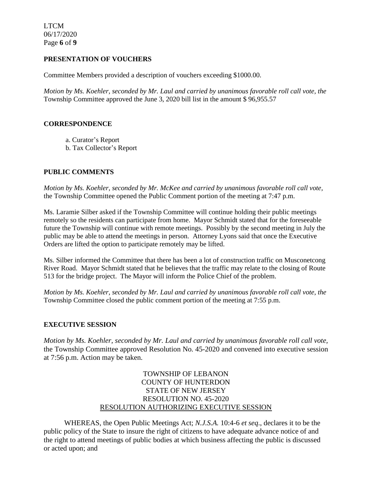LTCM 06/17/2020 Page **6** of **9**

## **PRESENTATION OF VOUCHERS**

Committee Members provided a description of vouchers exceeding \$1000.00.

*Motion by Ms. Koehler, seconded by Mr. Laul and carried by unanimous favorable roll call vote, the* Township Committee approved the June 3, 2020 bill list in the amount \$ 96,955.57

## **CORRESPONDENCE**

- a. Curator's Report
- b. Tax Collector's Report

# **PUBLIC COMMENTS**

*Motion by Ms. Koehler, seconded by Mr. McKee and carried by unanimous favorable roll call vote,* the Township Committee opened the Public Comment portion of the meeting at 7:47 p.m.

Ms. Laramie Silber asked if the Township Committee will continue holding their public meetings remotely so the residents can participate from home. Mayor Schmidt stated that for the foreseeable future the Township will continue with remote meetings. Possibly by the second meeting in July the public may be able to attend the meetings in person. Attorney Lyons said that once the Executive Orders are lifted the option to participate remotely may be lifted.

Ms. Silber informed the Committee that there has been a lot of construction traffic on Musconetcong River Road. Mayor Schmidt stated that he believes that the traffic may relate to the closing of Route 513 for the bridge project. The Mayor will inform the Police Chief of the problem.

*Motion by Ms. Koehler, seconded by Mr. Laul and carried by unanimous favorable roll call vote, the* Township Committee closed the public comment portion of the meeting at 7:55 p.m.

## **EXECUTIVE SESSION**

*Motion by Ms. Koehler, seconded by Mr. Laul and carried by unanimous favorable roll call vote,* the Township Committee approved Resolution No. 45-2020 and convened into executive session at 7:56 p.m. Action may be taken.

# TOWNSHIP OF LEBANON COUNTY OF HUNTERDON STATE OF NEW JERSEY RESOLUTION NO. 45-2020 RESOLUTION AUTHORIZING EXECUTIVE SESSION

WHEREAS, the Open Public Meetings Act; *N.J.S.A.* 10:4-6 *et seq*., declares it to be the public policy of the State to insure the right of citizens to have adequate advance notice of and the right to attend meetings of public bodies at which business affecting the public is discussed or acted upon; and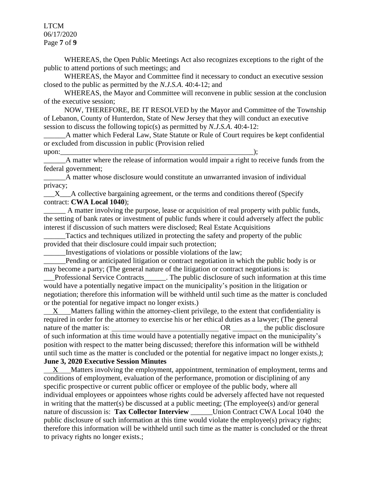LTCM 06/17/2020 Page **7** of **9**

WHEREAS, the Open Public Meetings Act also recognizes exceptions to the right of the public to attend portions of such meetings; and

WHEREAS, the Mayor and Committee find it necessary to conduct an executive session closed to the public as permitted by the *N.J.S.A*. 40:4-12; and

WHEREAS, the Mayor and Committee will reconvene in public session at the conclusion of the executive session;

NOW, THEREFORE, BE IT RESOLVED by the Mayor and Committee of the Township of Lebanon, County of Hunterdon, State of New Jersey that they will conduct an executive session to discuss the following topic(s) as permitted by *N.J.S.A*. 40:4-12:

\_\_\_\_\_\_A matter which Federal Law, State Statute or Rule of Court requires be kept confidential or excluded from discussion in public (Provision relied upon:\_\_\_\_\_\_\_\_\_\_\_\_\_\_\_\_\_\_\_\_\_\_\_\_\_\_\_\_\_\_\_\_\_\_\_\_\_\_\_\_\_\_\_\_\_\_\_\_\_\_\_\_\_);

\_\_\_\_\_\_A matter where the release of information would impair a right to receive funds from the federal government;

\_\_\_\_\_\_A matter whose disclosure would constitute an unwarranted invasion of individual privacy;

 $X$  A collective bargaining agreement, or the terms and conditions thereof (Specify contract: **CWA Local 1040**);

A matter involving the purpose, lease or acquisition of real property with public funds, the setting of bank rates or investment of public funds where it could adversely affect the public interest if discussion of such matters were disclosed; Real Estate Acquisitions

Tactics and techniques utilized in protecting the safety and property of the public provided that their disclosure could impair such protection;

\_\_\_\_\_\_Investigations of violations or possible violations of the law;

Pending or anticipated litigation or contract negotiation in which the public body is or may become a party; (The general nature of the litigation or contract negotiations is:

\_\_\_Professional Service Contracts\_\_\_\_\_\_. The public disclosure of such information at this time would have a potentially negative impact on the municipality's position in the litigation or negotiation; therefore this information will be withheld until such time as the matter is concluded or the potential for negative impact no longer exists.)

 X Matters falling within the attorney-client privilege, to the extent that confidentiality is required in order for the attorney to exercise his or her ethical duties as a lawyer; (The general nature of the matter is:  $OR$  the public disclosure of such information at this time would have a potentially negative impact on the municipality's position with respect to the matter being discussed; therefore this information will be withheld until such time as the matter is concluded or the potential for negative impact no longer exists.*)*; **June 3, 2020 Executive Session Minutes**

 X Matters involving the employment, appointment, termination of employment, terms and conditions of employment, evaluation of the performance, promotion or disciplining of any specific prospective or current public officer or employee of the public body, where all individual employees or appointees whose rights could be adversely affected have not requested in writing that the matter(s) be discussed at a public meeting; (The employee(s) and/or general nature of discussion is: **Tax Collector Interview** Union Contract CWA Local 1040 the public disclosure of such information at this time would violate the employee(s) privacy rights; therefore this information will be withheld until such time as the matter is concluded or the threat to privacy rights no longer exists.;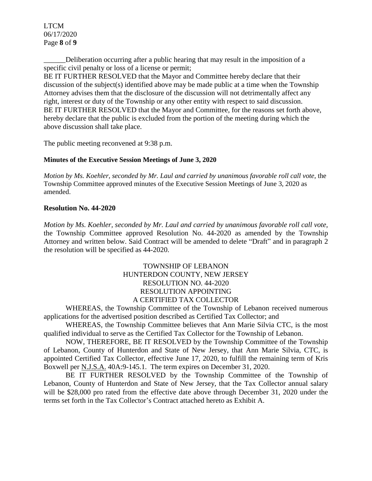LTCM 06/17/2020 Page **8** of **9**

Deliberation occurring after a public hearing that may result in the imposition of a specific civil penalty or loss of a license or permit;

BE IT FURTHER RESOLVED that the Mayor and Committee hereby declare that their discussion of the subject(s) identified above may be made public at a time when the Township Attorney advises them that the disclosure of the discussion will not detrimentally affect any right, interest or duty of the Township or any other entity with respect to said discussion. BE IT FURTHER RESOLVED that the Mayor and Committee, for the reasons set forth above, hereby declare that the public is excluded from the portion of the meeting during which the above discussion shall take place.

The public meeting reconvened at 9:38 p.m.

## **Minutes of the Executive Session Meetings of June 3, 2020**

*Motion by Ms. Koehler, seconded by Mr. Laul and carried by unanimous favorable roll call vote,* the Township Committee approved minutes of the Executive Session Meetings of June 3, 2020 as amended.

### **Resolution No. 44-2020**

*Motion by Ms. Koehler, seconded by Mr. Laul and carried by unanimous favorable roll call vote,* the Township Committee approved Resolution No. 44-2020 as amended by the Township Attorney and written below. Said Contract will be amended to delete "Draft" and in paragraph 2 the resolution will be specified as 44-2020.

## TOWNSHIP OF LEBANON HUNTERDON COUNTY, NEW JERSEY RESOLUTION NO. 44-2020 RESOLUTION APPOINTING A CERTIFIED TAX COLLECTOR

WHEREAS, the Township Committee of the Township of Lebanon received numerous applications for the advertised position described as Certified Tax Collector; and

WHEREAS, the Township Committee believes that Ann Marie Silvia CTC, is the most qualified individual to serve as the Certified Tax Collector for the Township of Lebanon.

NOW, THEREFORE, BE IT RESOLVED by the Township Committee of the Township of Lebanon, County of Hunterdon and State of New Jersey, that Ann Marie Silvia, CTC, is appointed Certified Tax Collector, effective June 17, 2020, to fulfill the remaining term of Kris Boxwell per N.J.S.A. 40A:9-145.1. The term expires on December 31, 2020.

BE IT FURTHER RESOLVED by the Township Committee of the Township of Lebanon, County of Hunterdon and State of New Jersey, that the Tax Collector annual salary will be \$28,000 pro rated from the effective date above through December 31, 2020 under the terms set forth in the Tax Collector's Contract attached hereto as Exhibit A.